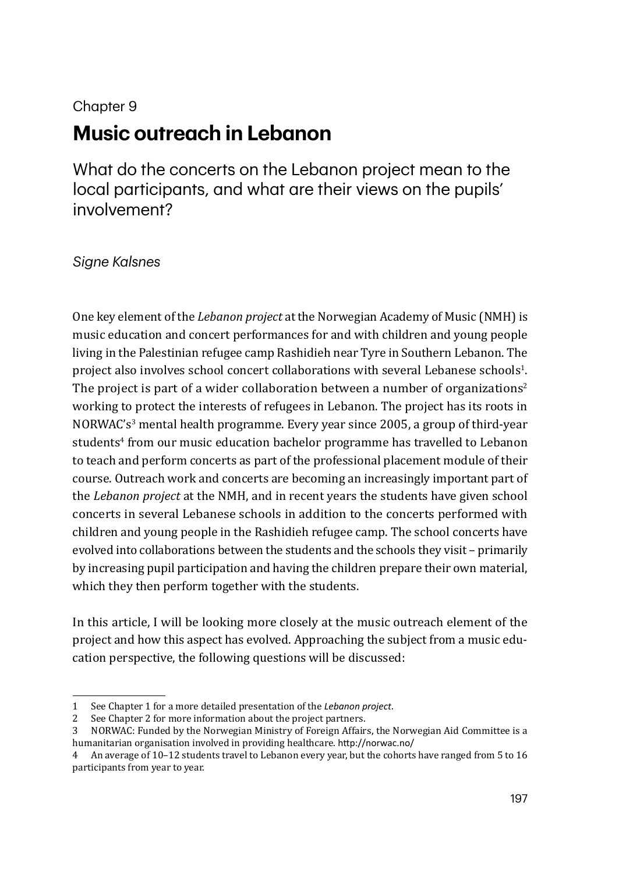#### Chapter 9

# **Music outreach in Lebanon**

What do the concerts on the Lebanon project mean to the local participants, and what are their views on the pupils' involvement?

#### *Signe Kalsnes*

One key element of the *Lebanon project* at the Norwegian Academy of Music (NMH) is music education and concert performances for and with children and young people living in the Palestinian refugee camp Rashidieh near Tyre in Southern Lebanon. The  $\mathbf p$ roject also involves school concert collaborations with several Lebanese schools $^1$ . The project is part of a wider collaboration between a number of organizations<sup>2</sup> working to protect the interests of refugees in Lebanon. The project has its roots in NORWAC's3 mental health programme. Every year since 2005, a group of third-year students<sup>4</sup> from our music education bachelor programme has travelled to Lebanon to teach and perform concerts as part of the professional placement module of their course. Outreach work and concerts are becoming an increasingly important part of the *Lebanon project* at the NMH, and in recent years the students have given school concerts in several Lebanese schools in addition to the concerts performed with children and young people in the Rashidieh refugee camp. The school concerts have evolved into collaborations between the students and the schools they visit – primarily by increasing pupil participation and having the children prepare their own material, which they then perform together with the students.

In this article, I will be looking more closely at the music outreach element of the project and how this aspect has evolved. Approaching the subject from a music education perspective, the following questions will be discussed:

<sup>1</sup> See Chapter 1 for a more detailed presentation of the *Lebanon project*.

<sup>2</sup> See Chapter 2 for more information about the project partners.

<sup>3</sup> NORWAC: Funded by the Norwegian Ministry of Foreign Affairs, the Norwegian Aid Committee is a humanitarian organisation involved in providing healthcare. http://norwac.no/

<sup>4</sup> An average of 10–12 students travel to Lebanon every year, but the cohorts have ranged from 5 to 16 participants from year to year.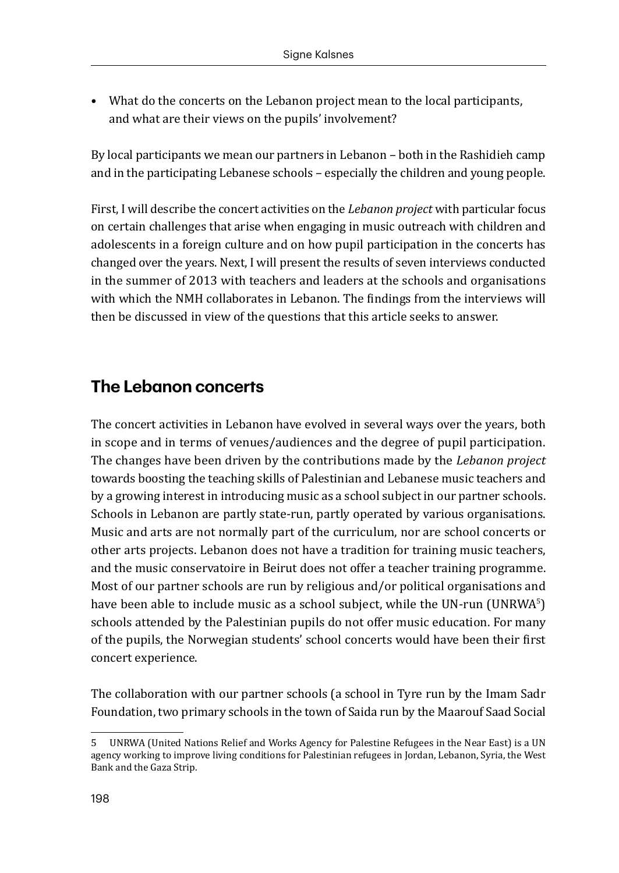• What do the concerts on the Lebanon project mean to the local participants, and what are their views on the pupils' involvement?

By local participants we mean our partners in Lebanon – both in the Rashidieh camp and in the participating Lebanese schools – especially the children and young people.

First, I will describe the concert activities on the *Lebanon project* with particular focus on certain challenges that arise when engaging in music outreach with children and adolescents in a foreign culture and on how pupil participation in the concerts has changed over the years. Next, I will present the results of seven interviews conducted in the summer of 2013 with teachers and leaders at the schools and organisations with which the NMH collaborates in Lebanon. The findings from the interviews will then be discussed in view of the questions that this article seeks to answer.

## **The Lebanon concerts**

The concert activities in Lebanon have evolved in several ways over the years, both in scope and in terms of venues/audiences and the degree of pupil participation. The changes have been driven by the contributions made by the *Lebanon project* towards boosting the teaching skills of Palestinian and Lebanese music teachers and by a growing interest in introducing music as a school subject in our partner schools. Schools in Lebanon are partly state-run, partly operated by various organisations. Music and arts are not normally part of the curriculum, nor are school concerts or other arts projects. Lebanon does not have a tradition for training music teachers, and the music conservatoire in Beirut does not offer a teacher training programme. Most of our partner schools are run by religious and/or political organisations and have been able to include music as a school subject, while the UN-run (UNRWA<sup>5</sup>) schools attended by the Palestinian pupils do not offer music education. For many of the pupils, the Norwegian students' school concerts would have been their first concert experience.

The collaboration with our partner schools (a school in Tyre run by the Imam Sadr Foundation, two primary schools in the town of Saida run by the Maarouf Saad Social

<sup>5</sup> UNRWA (United Nations Relief and Works Agency for Palestine Refugees in the Near East) is a UN agency working to improve living conditions for Palestinian refugees in Jordan, Lebanon, Syria, the West Bank and the Gaza Strip.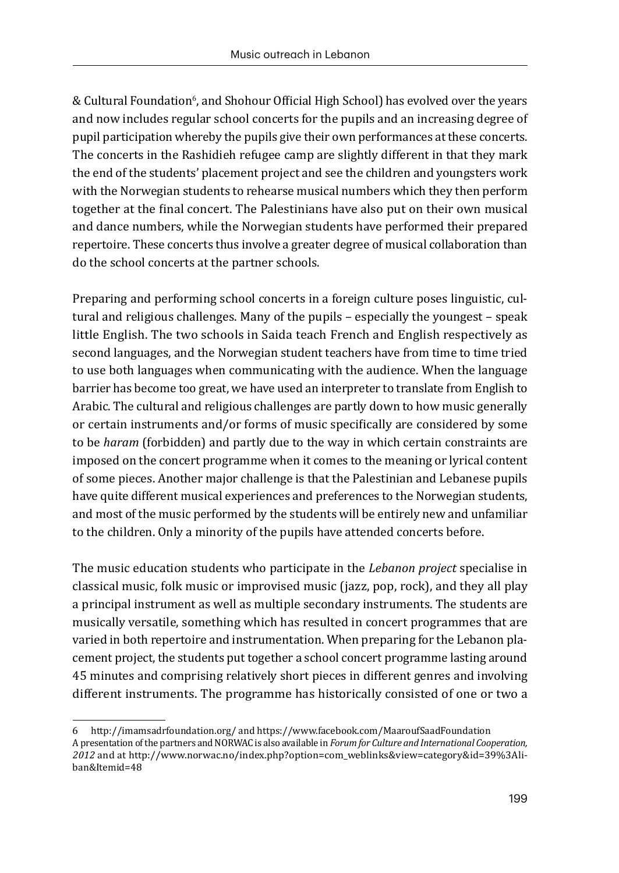& Cultural Foundation<sup>6</sup>, and Shohour Official High School) has evolved over the years and now includes regular school concerts for the pupils and an increasing degree of pupil participation whereby the pupils give their own performances at these concerts. The concerts in the Rashidieh refugee camp are slightly different in that they mark the end of the students' placement project and see the children and youngsters work with the Norwegian students to rehearse musical numbers which they then perform together at the final concert. The Palestinians have also put on their own musical and dance numbers, while the Norwegian students have performed their prepared repertoire. These concerts thus involve a greater degree of musical collaboration than do the school concerts at the partner schools.

Preparing and performing school concerts in a foreign culture poses linguistic, cultural and religious challenges. Many of the pupils – especially the youngest – speak little English. The two schools in Saida teach French and English respectively as second languages, and the Norwegian student teachers have from time to time tried to use both languages when communicating with the audience. When the language barrier has become too great, we have used an interpreter to translate from English to Arabic. The cultural and religious challenges are partly down to how music generally or certain instruments and/or forms of music specifically are considered by some to be *haram* (forbidden) and partly due to the way in which certain constraints are imposed on the concert programme when it comes to the meaning or lyrical content of some pieces. Another major challenge is that the Palestinian and Lebanese pupils have quite different musical experiences and preferences to the Norwegian students, and most of the music performed by the students will be entirely new and unfamiliar to the children. Only a minority of the pupils have attended concerts before.

The music education students who participate in the *Lebanon project* specialise in classical music, folk music or improvised music (jazz, pop, rock), and they all play a principal instrument as well as multiple secondary instruments. The students are musically versatile, something which has resulted in concert programmes that are varied in both repertoire and instrumentation. When preparing for the Lebanon placement project, the students put together a school concert programme lasting around 45 minutes and comprising relatively short pieces in different genres and involving different instruments. The programme has historically consisted of one or two a

<sup>6</sup> http://imamsadrfoundation.org/ and https://www.facebook.com/MaaroufSaadFoundation A presentation of the partners and NORWAC is also available in *Forum for Culture and International Cooperation, 2012* and at http://www.norwac.no/index.php?option=com\_weblinks&view=category&id=39%3Aliban&Itemid=48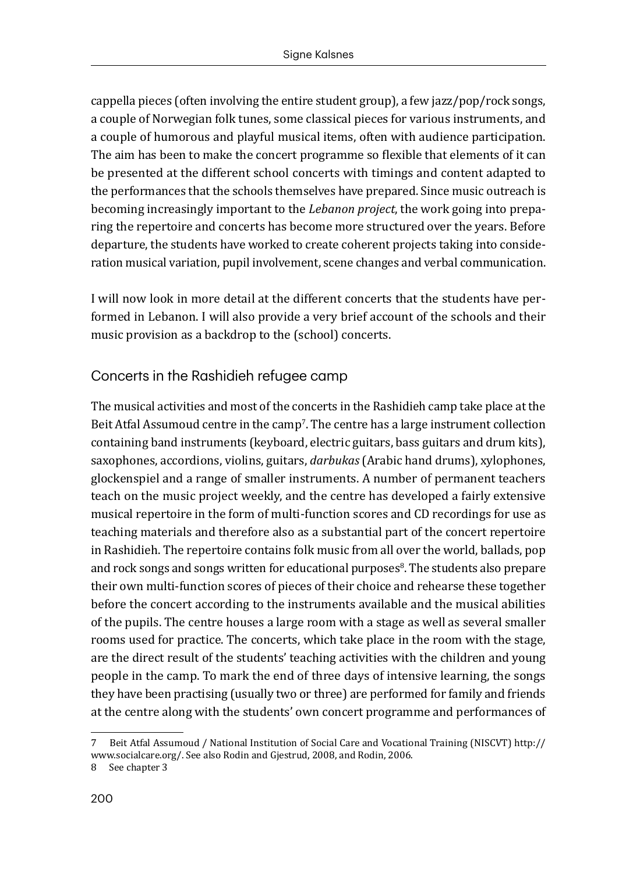cappella pieces (often involving the entire student group), a few jazz/pop/rock songs, a couple of Norwegian folk tunes, some classical pieces for various instruments, and a couple of humorous and playful musical items, often with audience participation. The aim has been to make the concert programme so flexible that elements of it can be presented at the different school concerts with timings and content adapted to the performances that the schools themselves have prepared. Since music outreach is becoming increasingly important to the *Lebanon project*, the work going into preparing the repertoire and concerts has become more structured over the years. Before departure, the students have worked to create coherent projects taking into consideration musical variation, pupil involvement, scene changes and verbal communication.

I will now look in more detail at the different concerts that the students have performed in Lebanon. I will also provide a very brief account of the schools and their music provision as a backdrop to the (school) concerts.

### Concerts in the Rashidieh refugee camp

The musical activities and most of the concerts in the Rashidieh camp take place at the Beit Atfal Assumoud centre in the  $\mathop{\mathrm{camp}}\nolimits$  . The centre has a large instrument collection  $\mathcal I$ containing band instruments (keyboard, electric guitars, bass guitars and drum kits), saxophones, accordions, violins, guitars, *darbukas* (Arabic hand drums), xylophones, glockenspiel and a range of smaller instruments. A number of permanent teachers teach on the music project weekly, and the centre has developed a fairly extensive musical repertoire in the form of multi-function scores and CD recordings for use as teaching materials and therefore also as a substantial part of the concert repertoire in Rashidieh. The repertoire contains folk music from all over the world, ballads, pop and rock songs and songs written for educational purposes<sup>8</sup>. The students also prepare their own multi-function scores of pieces of their choice and rehearse these together before the concert according to the instruments available and the musical abilities of the pupils. The centre houses a large room with a stage as well as several smaller rooms used for practice. The concerts, which take place in the room with the stage, are the direct result of the students' teaching activities with the children and young people in the camp. To mark the end of three days of intensive learning, the songs they have been practising (usually two or three) are performed for family and friends at the centre along with the students' own concert programme and performances of

<sup>7</sup> Beit Atfal Assumoud / National Institution of Social Care and Vocational Training (NISCVT) http:// www.socialcare.org/. See also Rodin and Gjestrud, 2008, and Rodin, 2006.

<sup>8</sup> See chapter 3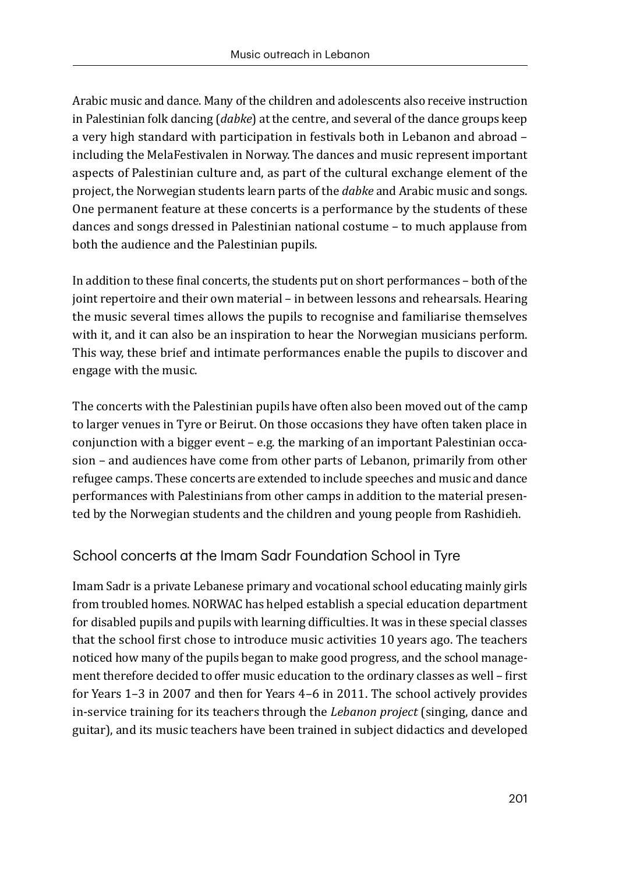Arabic music and dance. Many of the children and adolescents also receive instruction in Palestinian folk dancing (*dabke*) at the centre, and several of the dance groups keep a very high standard with participation in festivals both in Lebanon and abroad – including the MelaFestivalen in Norway. The dances and music represent important aspects of Palestinian culture and, as part of the cultural exchange element of the project, the Norwegian students learn parts of the *dabke* and Arabic music and songs. One permanent feature at these concerts is a performance by the students of these dances and songs dressed in Palestinian national costume – to much applause from both the audience and the Palestinian pupils.

In addition to these final concerts, the students put on short performances – both of the joint repertoire and their own material – in between lessons and rehearsals. Hearing the music several times allows the pupils to recognise and familiarise themselves with it, and it can also be an inspiration to hear the Norwegian musicians perform. This way, these brief and intimate performances enable the pupils to discover and engage with the music.

The concerts with the Palestinian pupils have often also been moved out of the camp to larger venues in Tyre or Beirut. On those occasions they have often taken place in conjunction with a bigger event – e.g. the marking of an important Palestinian occasion – and audiences have come from other parts of Lebanon, primarily from other refugee camps. These concerts are extended to include speeches and music and dance performances with Palestinians from other camps in addition to the material presented by the Norwegian students and the children and young people from Rashidieh.

## School concerts at the Imam Sadr Foundation School in Tyre

Imam Sadr is a private Lebanese primary and vocational school educating mainly girls from troubled homes. NORWAC has helped establish a special education department for disabled pupils and pupils with learning difficulties. It was in these special classes that the school first chose to introduce music activities 10 years ago. The teachers noticed how many of the pupils began to make good progress, and the school management therefore decided to offer music education to the ordinary classes as well – first for Years 1–3 in 2007 and then for Years 4–6 in 2011. The school actively provides in-service training for its teachers through the *Lebanon project* (singing, dance and guitar), and its music teachers have been trained in subject didactics and developed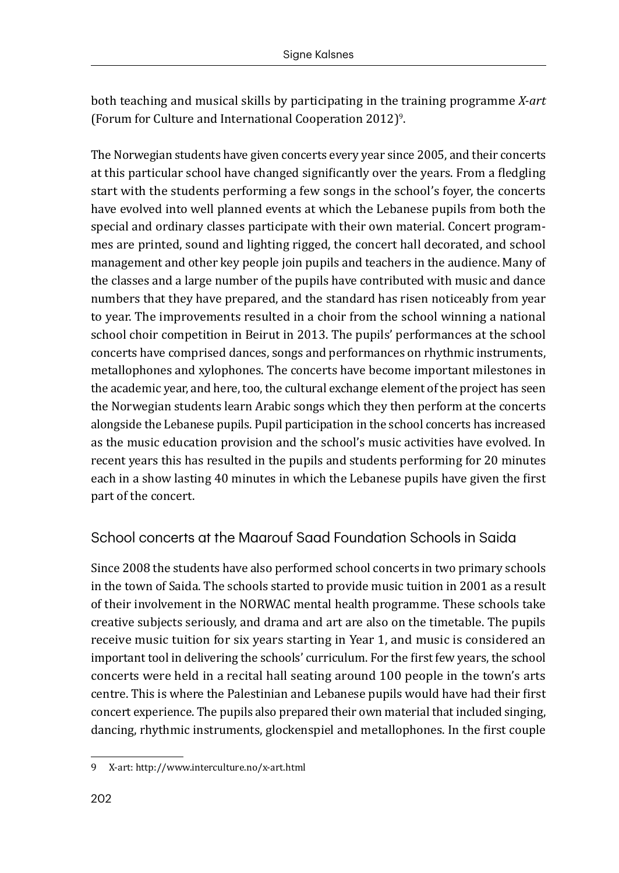both teaching and musical skills by participating in the training programme *X-art* (Forum for Culture and International Cooperation 2012)9 .

The Norwegian students have given concerts every year since 2005, and their concerts at this particular school have changed significantly over the years. From a fledgling start with the students performing a few songs in the school's foyer, the concerts have evolved into well planned events at which the Lebanese pupils from both the special and ordinary classes participate with their own material. Concert programmes are printed, sound and lighting rigged, the concert hall decorated, and school management and other key people join pupils and teachers in the audience. Many of the classes and a large number of the pupils have contributed with music and dance numbers that they have prepared, and the standard has risen noticeably from year to year. The improvements resulted in a choir from the school winning a national school choir competition in Beirut in 2013. The pupils' performances at the school concerts have comprised dances, songs and performances on rhythmic instruments, metallophones and xylophones. The concerts have become important milestones in the academic year, and here, too, the cultural exchange element of the project has seen the Norwegian students learn Arabic songs which they then perform at the concerts alongside the Lebanese pupils. Pupil participation in the school concerts has increased as the music education provision and the school's music activities have evolved. In recent years this has resulted in the pupils and students performing for 20 minutes each in a show lasting 40 minutes in which the Lebanese pupils have given the first part of the concert.

## School concerts at the Maarouf Saad Foundation Schools in Saida

Since 2008 the students have also performed school concerts in two primary schools in the town of Saida. The schools started to provide music tuition in 2001 as a result of their involvement in the NORWAC mental health programme. These schools take creative subjects seriously, and drama and art are also on the timetable. The pupils receive music tuition for six years starting in Year 1, and music is considered an important tool in delivering the schools' curriculum. For the first few years, the school concerts were held in a recital hall seating around 100 people in the town's arts centre. This is where the Palestinian and Lebanese pupils would have had their first concert experience. The pupils also prepared their own material that included singing, dancing, rhythmic instruments, glockenspiel and metallophones. In the first couple

<sup>9</sup> X-art: http://www.interculture.no/x-art.html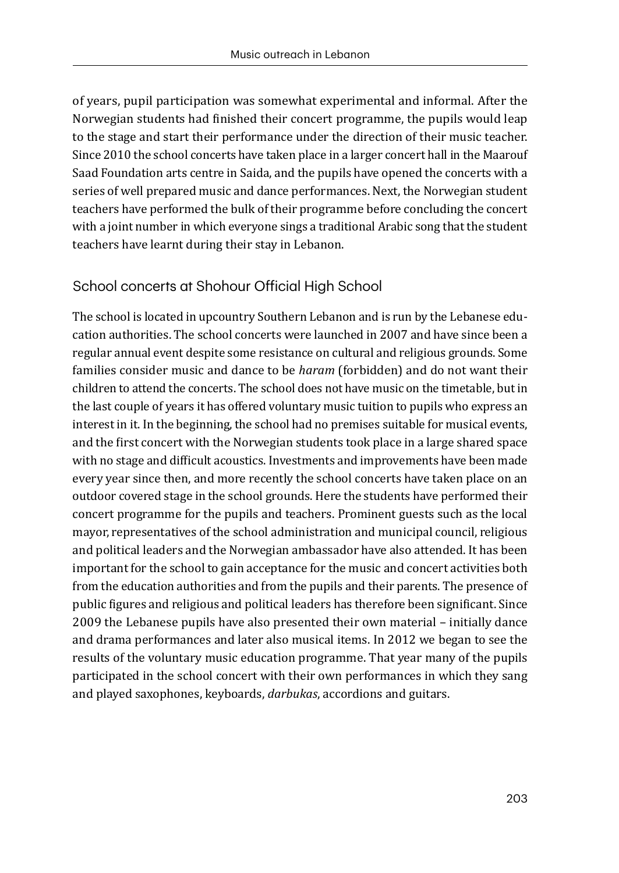of years, pupil participation was somewhat experimental and informal. After the Norwegian students had finished their concert programme, the pupils would leap to the stage and start their performance under the direction of their music teacher. Since 2010 the school concerts have taken place in a larger concert hall in the Maarouf Saad Foundation arts centre in Saida, and the pupils have opened the concerts with a series of well prepared music and dance performances. Next, the Norwegian student teachers have performed the bulk of their programme before concluding the concert with a joint number in which everyone sings a traditional Arabic song that the student teachers have learnt during their stay in Lebanon.

#### School concerts at Shohour Official High School

The school is located in upcountry Southern Lebanon and is run by the Lebanese education authorities. The school concerts were launched in 2007 and have since been a regular annual event despite some resistance on cultural and religious grounds. Some families consider music and dance to be *haram* (forbidden) and do not want their children to attend the concerts. The school does not have music on the timetable, but in the last couple of years it has offered voluntary music tuition to pupils who express an interest in it. In the beginning, the school had no premises suitable for musical events, and the first concert with the Norwegian students took place in a large shared space with no stage and difficult acoustics. Investments and improvements have been made every year since then, and more recently the school concerts have taken place on an outdoor covered stage in the school grounds. Here the students have performed their concert programme for the pupils and teachers. Prominent guests such as the local mayor, representatives of the school administration and municipal council, religious and political leaders and the Norwegian ambassador have also attended. It has been important for the school to gain acceptance for the music and concert activities both from the education authorities and from the pupils and their parents. The presence of public figures and religious and political leaders has therefore been significant. Since 2009 the Lebanese pupils have also presented their own material – initially dance and drama performances and later also musical items. In 2012 we began to see the results of the voluntary music education programme. That year many of the pupils participated in the school concert with their own performances in which they sang and played saxophones, keyboards, *darbukas*, accordions and guitars.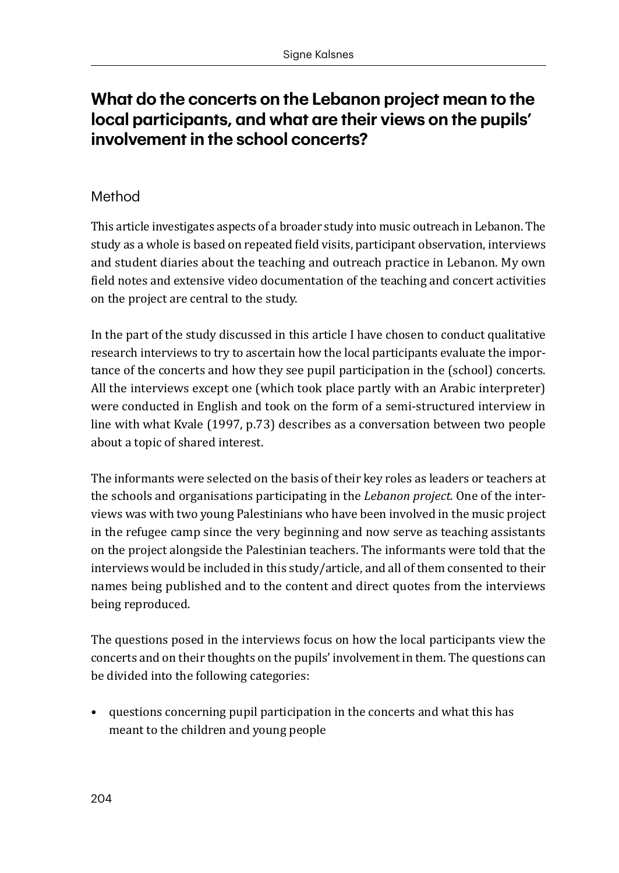## **What do the concerts on the Lebanon project mean to the local participants, and what are their views on the pupils' involvement in the school concerts?**

### Method

This article investigates aspects of a broader study into music outreach in Lebanon. The study as a whole is based on repeated field visits, participant observation, interviews and student diaries about the teaching and outreach practice in Lebanon. My own field notes and extensive video documentation of the teaching and concert activities on the project are central to the study.

In the part of the study discussed in this article I have chosen to conduct qualitative research interviews to try to ascertain how the local participants evaluate the importance of the concerts and how they see pupil participation in the (school) concerts. All the interviews except one (which took place partly with an Arabic interpreter) were conducted in English and took on the form of a semi-structured interview in line with what Kvale (1997, p.73) describes as a conversation between two people about a topic of shared interest.

The informants were selected on the basis of their key roles as leaders or teachers at the schools and organisations participating in the *Lebanon project*. One of the interviews was with two young Palestinians who have been involved in the music project in the refugee camp since the very beginning and now serve as teaching assistants on the project alongside the Palestinian teachers. The informants were told that the interviews would be included in this study/article, and all of them consented to their names being published and to the content and direct quotes from the interviews being reproduced.

The questions posed in the interviews focus on how the local participants view the concerts and on their thoughts on the pupils' involvement in them. The questions can be divided into the following categories:

• questions concerning pupil participation in the concerts and what this has meant to the children and young people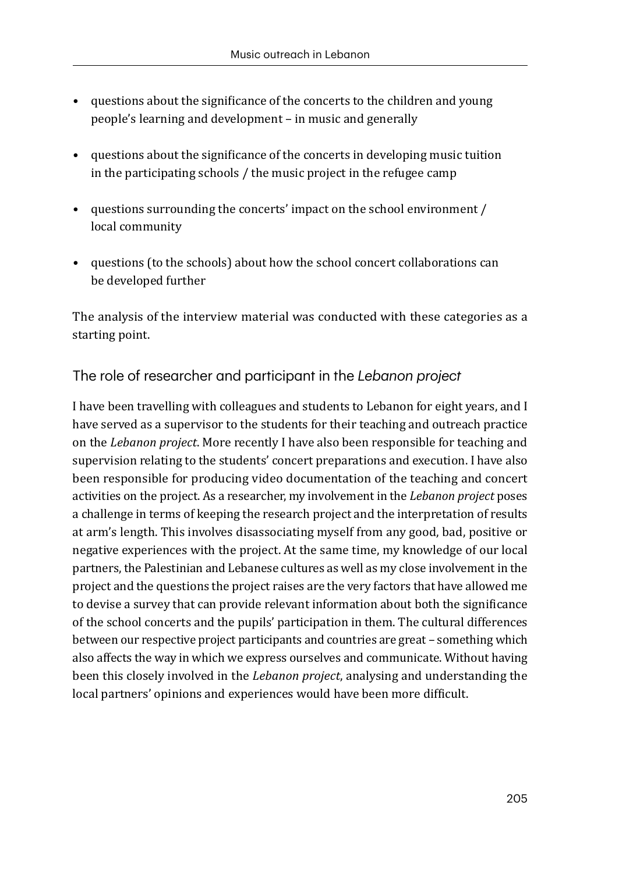- questions about the significance of the concerts to the children and young people's learning and development – in music and generally
- questions about the significance of the concerts in developing music tuition in the participating schools / the music project in the refugee camp
- questions surrounding the concerts' impact on the school environment / local community
- questions (to the schools) about how the school concert collaborations can be developed further

The analysis of the interview material was conducted with these categories as a starting point.

## The role of researcher and participant in the *Lebanon project*

I have been travelling with colleagues and students to Lebanon for eight years, and I have served as a supervisor to the students for their teaching and outreach practice on the *Lebanon project*. More recently I have also been responsible for teaching and supervision relating to the students' concert preparations and execution. I have also been responsible for producing video documentation of the teaching and concert activities on the project. As a researcher, my involvement in the *Lebanon project* poses a challenge in terms of keeping the research project and the interpretation of results at arm's length. This involves disassociating myself from any good, bad, positive or negative experiences with the project. At the same time, my knowledge of our local partners, the Palestinian and Lebanese cultures as well as my close involvement in the project and the questions the project raises are the very factors that have allowed me to devise a survey that can provide relevant information about both the significance of the school concerts and the pupils' participation in them. The cultural differences between our respective project participants and countries are great – something which also affects the way in which we express ourselves and communicate. Without having been this closely involved in the *Lebanon project*, analysing and understanding the local partners' opinions and experiences would have been more difficult.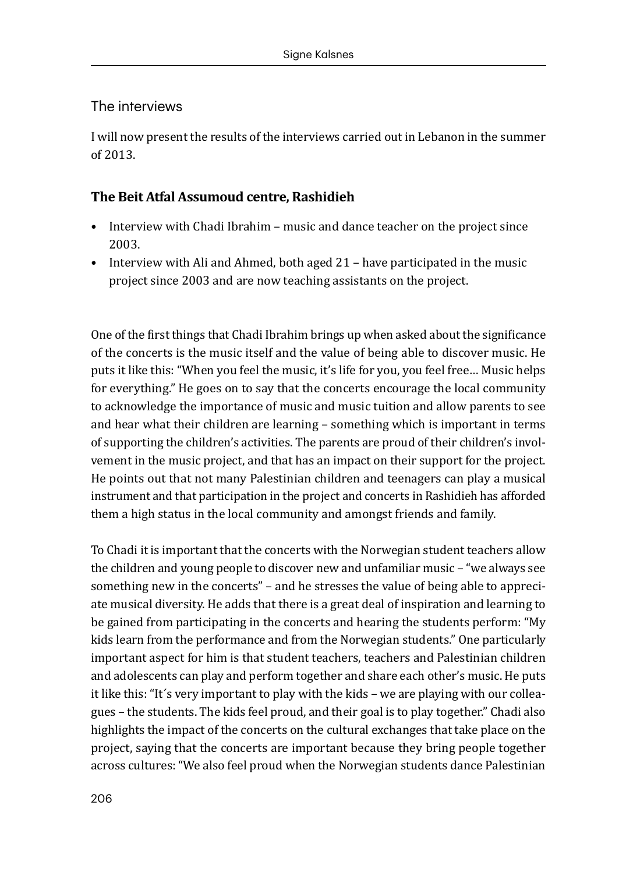#### The interviews

I will now present the results of the interviews carried out in Lebanon in the summer of 2013.

#### **The Beit Atfal Assumoud centre, Rashidieh**

- Interview with Chadi Ibrahim music and dance teacher on the project since 2003.
- Interview with Ali and Ahmed, both aged 21 have participated in the music project since 2003 and are now teaching assistants on the project.

One of the first things that Chadi Ibrahim brings up when asked about the significance of the concerts is the music itself and the value of being able to discover music. He puts it like this: "When you feel the music, it's life for you, you feel free… Music helps for everything." He goes on to say that the concerts encourage the local community to acknowledge the importance of music and music tuition and allow parents to see and hear what their children are learning – something which is important in terms of supporting the children's activities. The parents are proud of their children's involvement in the music project, and that has an impact on their support for the project. He points out that not many Palestinian children and teenagers can play a musical instrument and that participation in the project and concerts in Rashidieh has afforded them a high status in the local community and amongst friends and family.

To Chadi it is important that the concerts with the Norwegian student teachers allow the children and young people to discover new and unfamiliar music – "we always see something new in the concerts" – and he stresses the value of being able to appreciate musical diversity. He adds that there is a great deal of inspiration and learning to be gained from participating in the concerts and hearing the students perform: "My kids learn from the performance and from the Norwegian students." One particularly important aspect for him is that student teachers, teachers and Palestinian children and adolescents can play and perform together and share each other's music. He puts it like this: "It´s very important to play with the kids – we are playing with our colleagues – the students. The kids feel proud, and their goal is to play together." Chadi also highlights the impact of the concerts on the cultural exchanges that take place on the project, saying that the concerts are important because they bring people together across cultures: "We also feel proud when the Norwegian students dance Palestinian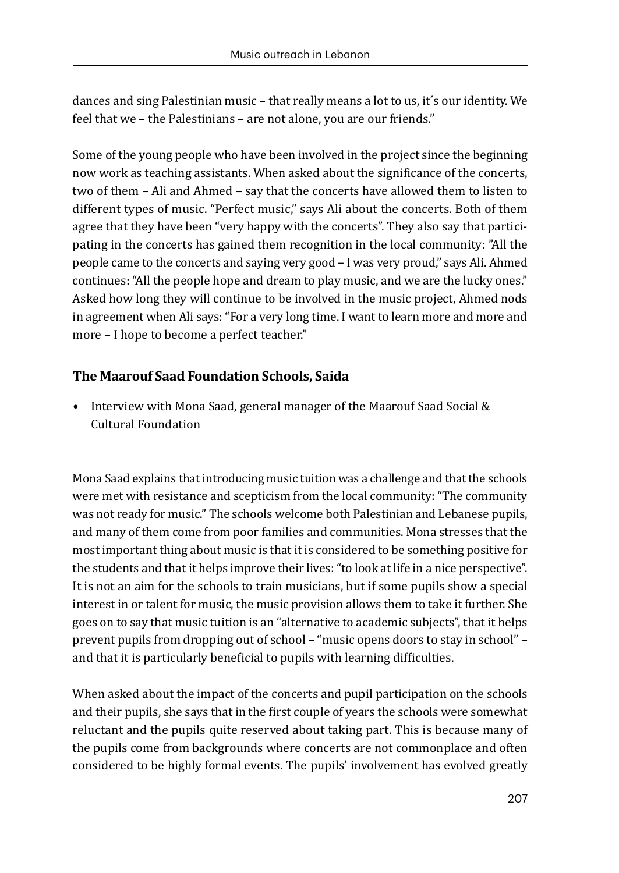dances and sing Palestinian music – that really means a lot to us, it´s our identity. We feel that we – the Palestinians – are not alone, you are our friends."

Some of the young people who have been involved in the project since the beginning now work as teaching assistants. When asked about the significance of the concerts, two of them – Ali and Ahmed – say that the concerts have allowed them to listen to different types of music. "Perfect music," says Ali about the concerts. Both of them agree that they have been "very happy with the concerts". They also say that participating in the concerts has gained them recognition in the local community: "All the people came to the concerts and saying very good – I was very proud," says Ali. Ahmed continues: "All the people hope and dream to play music, and we are the lucky ones." Asked how long they will continue to be involved in the music project, Ahmed nods in agreement when Ali says: "For a very long time. I want to learn more and more and more – I hope to become a perfect teacher."

#### **The Maarouf Saad Foundation Schools, Saida**

• Interview with Mona Saad, general manager of the Maarouf Saad Social & Cultural Foundation

Mona Saad explains that introducing music tuition was a challenge and that the schools were met with resistance and scepticism from the local community: "The community was not ready for music." The schools welcome both Palestinian and Lebanese pupils, and many of them come from poor families and communities. Mona stresses that the most important thing about music is that it is considered to be something positive for the students and that it helps improve their lives: "to look at life in a nice perspective". It is not an aim for the schools to train musicians, but if some pupils show a special interest in or talent for music, the music provision allows them to take it further. She goes on to say that music tuition is an "alternative to academic subjects", that it helps prevent pupils from dropping out of school – "music opens doors to stay in school" – and that it is particularly beneficial to pupils with learning difficulties.

When asked about the impact of the concerts and pupil participation on the schools and their pupils, she says that in the first couple of years the schools were somewhat reluctant and the pupils quite reserved about taking part. This is because many of the pupils come from backgrounds where concerts are not commonplace and often considered to be highly formal events. The pupils' involvement has evolved greatly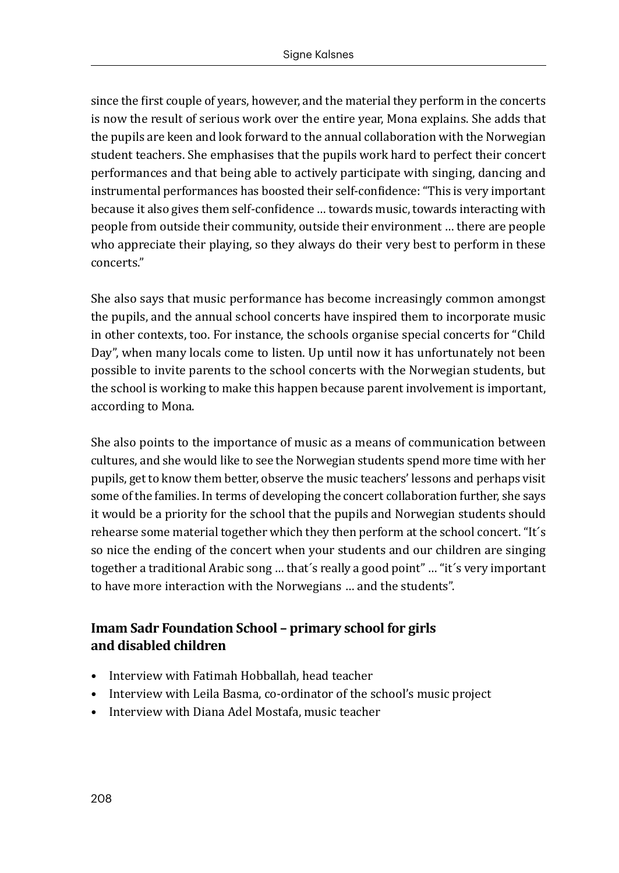since the first couple of years, however, and the material they perform in the concerts is now the result of serious work over the entire year, Mona explains. She adds that the pupils are keen and look forward to the annual collaboration with the Norwegian student teachers. She emphasises that the pupils work hard to perfect their concert performances and that being able to actively participate with singing, dancing and instrumental performances has boosted their self-confidence: "This is very important because it also gives them self-confidence … towards music, towards interacting with people from outside their community, outside their environment … there are people who appreciate their playing, so they always do their very best to perform in these concerts."

She also says that music performance has become increasingly common amongst the pupils, and the annual school concerts have inspired them to incorporate music in other contexts, too. For instance, the schools organise special concerts for "Child Day", when many locals come to listen. Up until now it has unfortunately not been possible to invite parents to the school concerts with the Norwegian students, but the school is working to make this happen because parent involvement is important, according to Mona.

She also points to the importance of music as a means of communication between cultures, and she would like to see the Norwegian students spend more time with her pupils, get to know them better, observe the music teachers' lessons and perhaps visit some of the families. In terms of developing the concert collaboration further, she says it would be a priority for the school that the pupils and Norwegian students should rehearse some material together which they then perform at the school concert. "It´s so nice the ending of the concert when your students and our children are singing together a traditional Arabic song … that´s really a good point" … "it´s very important to have more interaction with the Norwegians … and the students".

### **Imam Sadr Foundation School – primary school for girls and disabled children**

- Interview with Fatimah Hobballah, head teacher
- Interview with Leila Basma, co-ordinator of the school's music project
- Interview with Diana Adel Mostafa, music teacher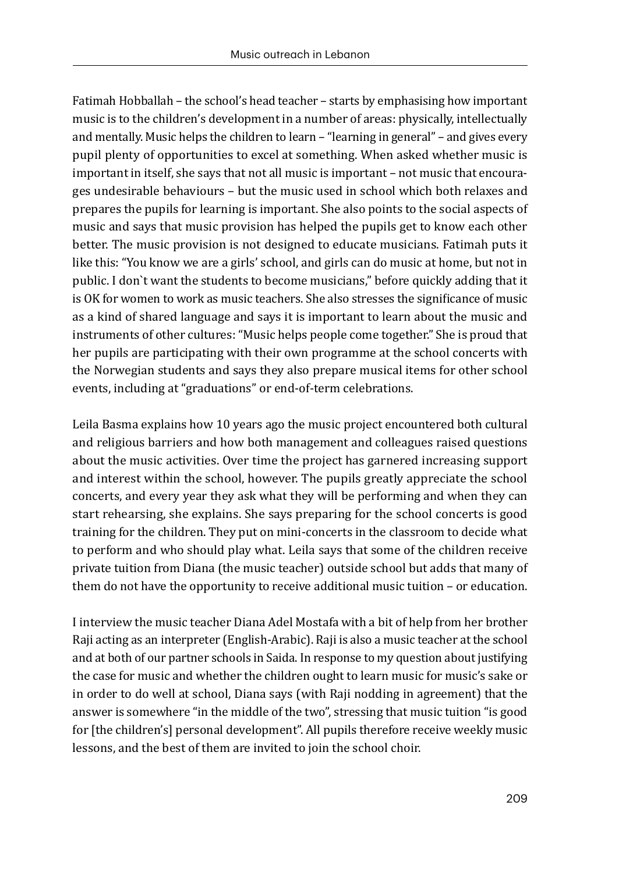Fatimah Hobballah – the school's head teacher – starts by emphasising how important music is to the children's development in a number of areas: physically, intellectually and mentally. Music helps the children to learn – "learning in general" – and gives every pupil plenty of opportunities to excel at something. When asked whether music is important in itself, she says that not all music is important – not music that encourages undesirable behaviours – but the music used in school which both relaxes and prepares the pupils for learning is important. She also points to the social aspects of music and says that music provision has helped the pupils get to know each other better. The music provision is not designed to educate musicians. Fatimah puts it like this: "You know we are a girls' school, and girls can do music at home, but not in public. I don`t want the students to become musicians," before quickly adding that it is OK for women to work as music teachers. She also stresses the significance of music as a kind of shared language and says it is important to learn about the music and instruments of other cultures: "Music helps people come together." She is proud that her pupils are participating with their own programme at the school concerts with the Norwegian students and says they also prepare musical items for other school events, including at "graduations" or end-of-term celebrations.

Leila Basma explains how 10 years ago the music project encountered both cultural and religious barriers and how both management and colleagues raised questions about the music activities. Over time the project has garnered increasing support and interest within the school, however. The pupils greatly appreciate the school concerts, and every year they ask what they will be performing and when they can start rehearsing, she explains. She says preparing for the school concerts is good training for the children. They put on mini-concerts in the classroom to decide what to perform and who should play what. Leila says that some of the children receive private tuition from Diana (the music teacher) outside school but adds that many of them do not have the opportunity to receive additional music tuition – or education.

I interview the music teacher Diana Adel Mostafa with a bit of help from her brother Raji acting as an interpreter (English-Arabic). Raji is also a music teacher at the school and at both of our partner schools in Saida. In response to my question about justifying the case for music and whether the children ought to learn music for music's sake or in order to do well at school, Diana says (with Raji nodding in agreement) that the answer is somewhere "in the middle of the two", stressing that music tuition "is good for [the children's] personal development". All pupils therefore receive weekly music lessons, and the best of them are invited to join the school choir.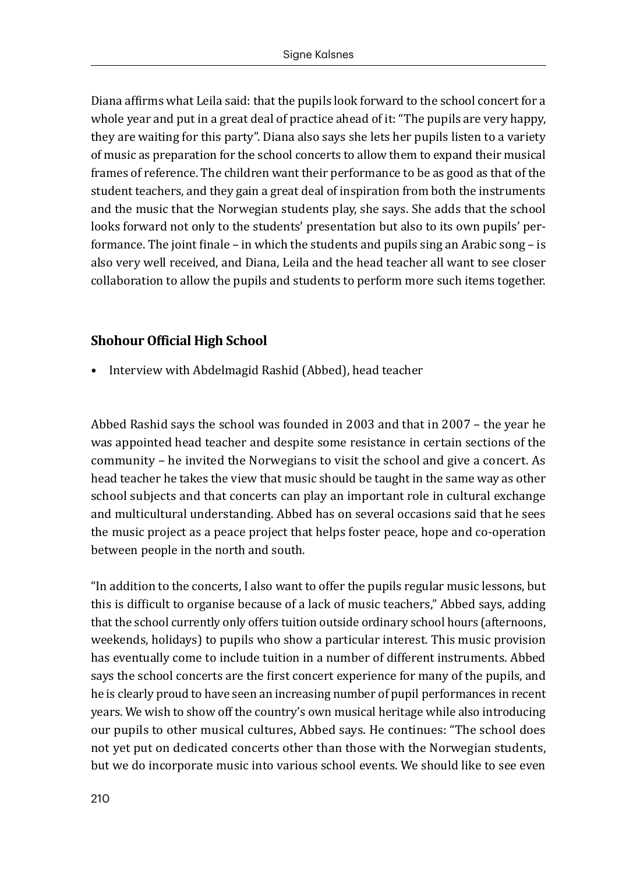Diana affirms what Leila said: that the pupils look forward to the school concert for a whole year and put in a great deal of practice ahead of it: "The pupils are very happy, they are waiting for this party". Diana also says she lets her pupils listen to a variety of music as preparation for the school concerts to allow them to expand their musical frames of reference. The children want their performance to be as good as that of the student teachers, and they gain a great deal of inspiration from both the instruments and the music that the Norwegian students play, she says. She adds that the school looks forward not only to the students' presentation but also to its own pupils' performance. The joint finale – in which the students and pupils sing an Arabic song – is also very well received, and Diana, Leila and the head teacher all want to see closer collaboration to allow the pupils and students to perform more such items together.

#### **Shohour Official High School**

• Interview with Abdelmagid Rashid (Abbed), head teacher

Abbed Rashid says the school was founded in 2003 and that in 2007 – the year he was appointed head teacher and despite some resistance in certain sections of the community – he invited the Norwegians to visit the school and give a concert. As head teacher he takes the view that music should be taught in the same way as other school subjects and that concerts can play an important role in cultural exchange and multicultural understanding. Abbed has on several occasions said that he sees the music project as a peace project that helps foster peace, hope and co-operation between people in the north and south.

"In addition to the concerts, I also want to offer the pupils regular music lessons, but this is difficult to organise because of a lack of music teachers," Abbed says, adding that the school currently only offers tuition outside ordinary school hours (afternoons, weekends, holidays) to pupils who show a particular interest. This music provision has eventually come to include tuition in a number of different instruments. Abbed says the school concerts are the first concert experience for many of the pupils, and he is clearly proud to have seen an increasing number of pupil performances in recent years. We wish to show off the country's own musical heritage while also introducing our pupils to other musical cultures, Abbed says. He continues: "The school does not yet put on dedicated concerts other than those with the Norwegian students, but we do incorporate music into various school events. We should like to see even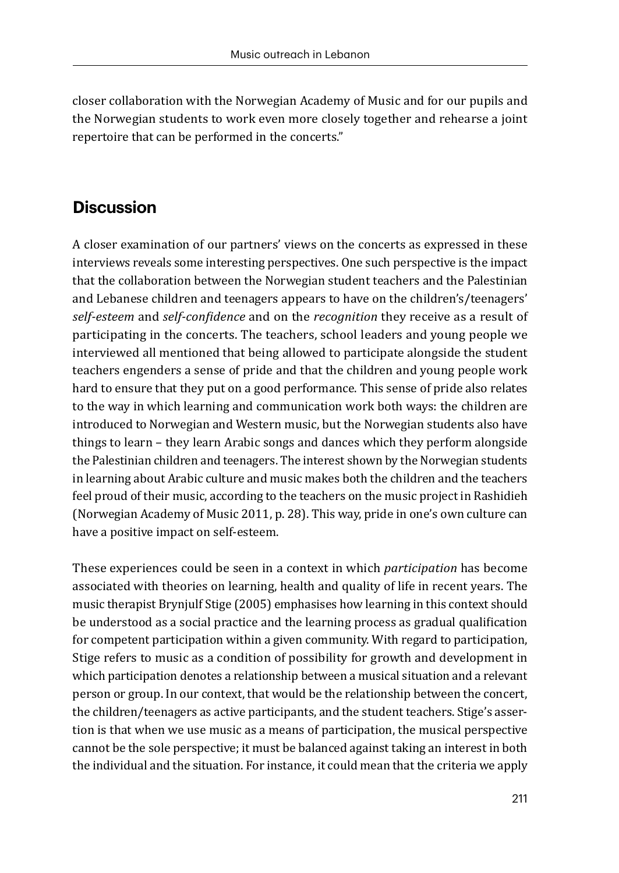closer collaboration with the Norwegian Academy of Music and for our pupils and the Norwegian students to work even more closely together and rehearse a joint repertoire that can be performed in the concerts."

## **Discussion**

A closer examination of our partners' views on the concerts as expressed in these interviews reveals some interesting perspectives. One such perspective is the impact that the collaboration between the Norwegian student teachers and the Palestinian and Lebanese children and teenagers appears to have on the children's/teenagers' *self-esteem* and *self-confidence* and on the *recognition* they receive as a result of participating in the concerts. The teachers, school leaders and young people we interviewed all mentioned that being allowed to participate alongside the student teachers engenders a sense of pride and that the children and young people work hard to ensure that they put on a good performance. This sense of pride also relates to the way in which learning and communication work both ways: the children are introduced to Norwegian and Western music, but the Norwegian students also have things to learn – they learn Arabic songs and dances which they perform alongside the Palestinian children and teenagers. The interest shown by the Norwegian students in learning about Arabic culture and music makes both the children and the teachers feel proud of their music, according to the teachers on the music project in Rashidieh (Norwegian Academy of Music 2011, p. 28). This way, pride in one's own culture can have a positive impact on self-esteem.

These experiences could be seen in a context in which *participation* has become associated with theories on learning, health and quality of life in recent years. The music therapist Brynjulf Stige (2005) emphasises how learning in this context should be understood as a social practice and the learning process as gradual qualification for competent participation within a given community. With regard to participation, Stige refers to music as a condition of possibility for growth and development in which participation denotes a relationship between a musical situation and a relevant person or group. In our context, that would be the relationship between the concert, the children/teenagers as active participants, and the student teachers. Stige's assertion is that when we use music as a means of participation, the musical perspective cannot be the sole perspective; it must be balanced against taking an interest in both the individual and the situation. For instance, it could mean that the criteria we apply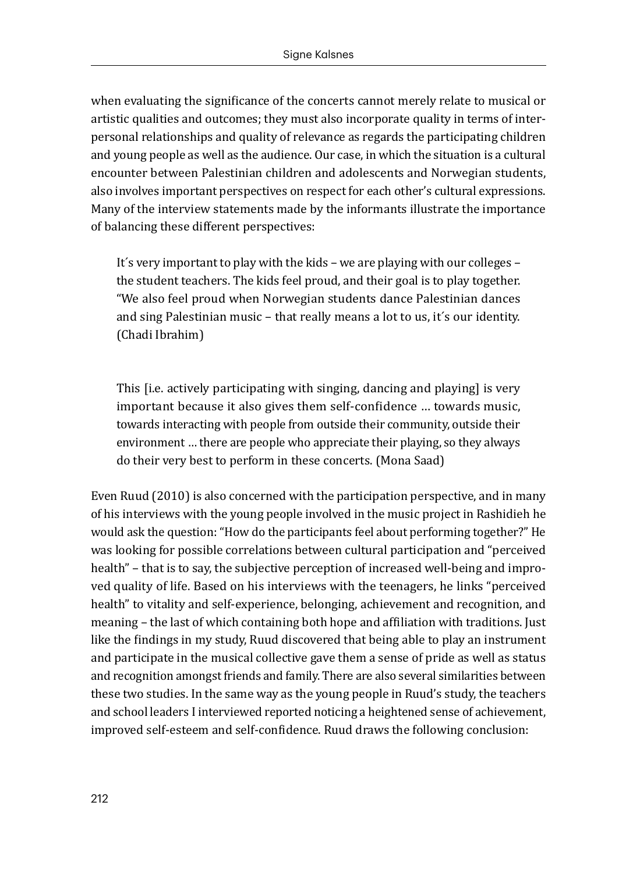when evaluating the significance of the concerts cannot merely relate to musical or artistic qualities and outcomes; they must also incorporate quality in terms of interpersonal relationships and quality of relevance as regards the participating children and young people as well as the audience. Our case, in which the situation is a cultural encounter between Palestinian children and adolescents and Norwegian students, also involves important perspectives on respect for each other's cultural expressions. Many of the interview statements made by the informants illustrate the importance of balancing these different perspectives:

It´s very important to play with the kids – we are playing with our colleges – the student teachers. The kids feel proud, and their goal is to play together. "We also feel proud when Norwegian students dance Palestinian dances and sing Palestinian music – that really means a lot to us, it´s our identity. (Chadi Ibrahim)

This [i.e. actively participating with singing, dancing and playing] is very important because it also gives them self-confidence … towards music, towards interacting with people from outside their community, outside their environment … there are people who appreciate their playing, so they always do their very best to perform in these concerts. (Mona Saad)

Even Ruud (2010) is also concerned with the participation perspective, and in many of his interviews with the young people involved in the music project in Rashidieh he would ask the question: "How do the participants feel about performing together?" He was looking for possible correlations between cultural participation and "perceived health" – that is to say, the subjective perception of increased well-being and improved quality of life. Based on his interviews with the teenagers, he links "perceived health" to vitality and self-experience, belonging, achievement and recognition, and meaning – the last of which containing both hope and affiliation with traditions. Just like the findings in my study, Ruud discovered that being able to play an instrument and participate in the musical collective gave them a sense of pride as well as status and recognition amongst friends and family. There are also several similarities between these two studies. In the same way as the young people in Ruud's study, the teachers and school leaders I interviewed reported noticing a heightened sense of achievement, improved self-esteem and self-confidence. Ruud draws the following conclusion: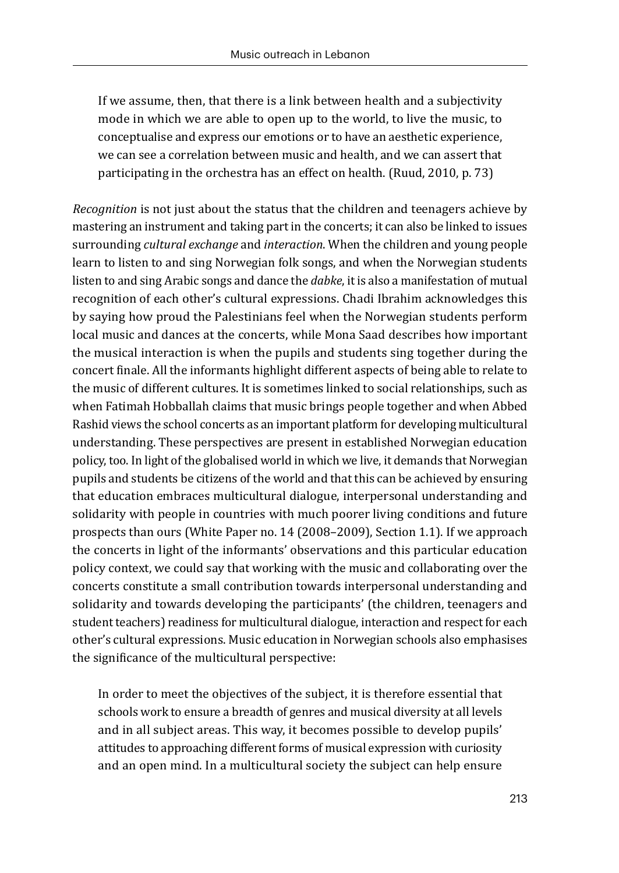If we assume, then, that there is a link between health and a subjectivity mode in which we are able to open up to the world, to live the music, to conceptualise and express our emotions or to have an aesthetic experience, we can see a correlation between music and health, and we can assert that participating in the orchestra has an effect on health. (Ruud, 2010, p. 73)

*Recognition* is not just about the status that the children and teenagers achieve by mastering an instrument and taking part in the concerts; it can also be linked to issues surrounding *cultural exchange* and *interaction*. When the children and young people learn to listen to and sing Norwegian folk songs, and when the Norwegian students listen to and sing Arabic songs and dance the *dabke*, it is also a manifestation of mutual recognition of each other's cultural expressions. Chadi Ibrahim acknowledges this by saying how proud the Palestinians feel when the Norwegian students perform local music and dances at the concerts, while Mona Saad describes how important the musical interaction is when the pupils and students sing together during the concert finale. All the informants highlight different aspects of being able to relate to the music of different cultures. It is sometimes linked to social relationships, such as when Fatimah Hobballah claims that music brings people together and when Abbed Rashid views the school concerts as an important platform for developing multicultural understanding. These perspectives are present in established Norwegian education policy, too. In light of the globalised world in which we live, it demands that Norwegian pupils and students be citizens of the world and that this can be achieved by ensuring that education embraces multicultural dialogue, interpersonal understanding and solidarity with people in countries with much poorer living conditions and future prospects than ours (White Paper no. 14 (2008–2009), Section 1.1). If we approach the concerts in light of the informants' observations and this particular education policy context, we could say that working with the music and collaborating over the concerts constitute a small contribution towards interpersonal understanding and solidarity and towards developing the participants' (the children, teenagers and student teachers) readiness for multicultural dialogue, interaction and respect for each other's cultural expressions. Music education in Norwegian schools also emphasises the significance of the multicultural perspective:

In order to meet the objectives of the subject, it is therefore essential that schools work to ensure a breadth of genres and musical diversity at all levels and in all subject areas. This way, it becomes possible to develop pupils' attitudes to approaching different forms of musical expression with curiosity and an open mind. In a multicultural society the subject can help ensure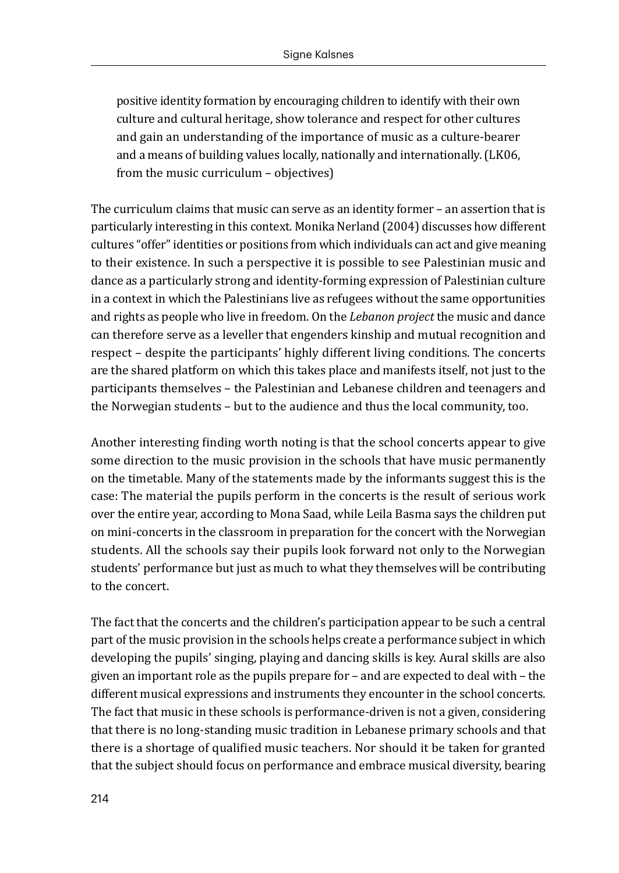positive identity formation by encouraging children to identify with their own culture and cultural heritage, show tolerance and respect for other cultures and gain an understanding of the importance of music as a culture-bearer and a means of building values locally, nationally and internationally. (LK06, from the music curriculum – objectives)

The curriculum claims that music can serve as an identity former – an assertion that is particularly interesting in this context. Monika Nerland (2004) discusses how different cultures "offer" identities or positions from which individuals can act and give meaning to their existence. In such a perspective it is possible to see Palestinian music and dance as a particularly strong and identity-forming expression of Palestinian culture in a context in which the Palestinians live as refugees without the same opportunities and rights as people who live in freedom. On the *Lebanon project* the music and dance can therefore serve as a leveller that engenders kinship and mutual recognition and respect – despite the participants' highly different living conditions. The concerts are the shared platform on which this takes place and manifests itself, not just to the participants themselves – the Palestinian and Lebanese children and teenagers and the Norwegian students – but to the audience and thus the local community, too.

Another interesting finding worth noting is that the school concerts appear to give some direction to the music provision in the schools that have music permanently on the timetable. Many of the statements made by the informants suggest this is the case: The material the pupils perform in the concerts is the result of serious work over the entire year, according to Mona Saad, while Leila Basma says the children put on mini-concerts in the classroom in preparation for the concert with the Norwegian students. All the schools say their pupils look forward not only to the Norwegian students' performance but just as much to what they themselves will be contributing to the concert.

The fact that the concerts and the children's participation appear to be such a central part of the music provision in the schools helps create a performance subject in which developing the pupils' singing, playing and dancing skills is key. Aural skills are also given an important role as the pupils prepare for – and are expected to deal with – the different musical expressions and instruments they encounter in the school concerts. The fact that music in these schools is performance-driven is not a given, considering that there is no long-standing music tradition in Lebanese primary schools and that there is a shortage of qualified music teachers. Nor should it be taken for granted that the subject should focus on performance and embrace musical diversity, bearing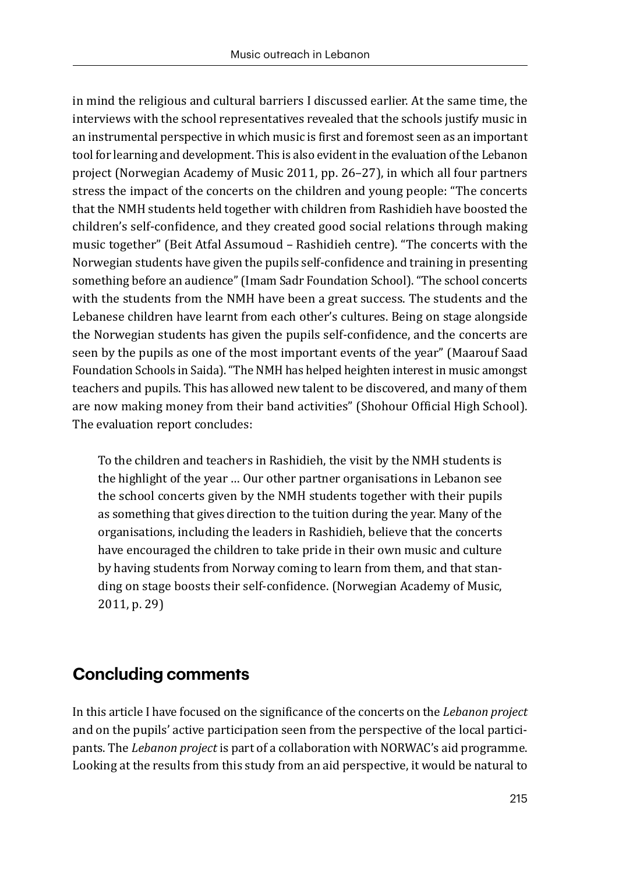in mind the religious and cultural barriers I discussed earlier. At the same time, the interviews with the school representatives revealed that the schools justify music in an instrumental perspective in which music is first and foremost seen as an important tool for learning and development. This is also evident in the evaluation of the Lebanon project (Norwegian Academy of Music 2011, pp. 26–27), in which all four partners stress the impact of the concerts on the children and young people: "The concerts that the NMH students held together with children from Rashidieh have boosted the children's self-confidence, and they created good social relations through making music together" (Beit Atfal Assumoud – Rashidieh centre). "The concerts with the Norwegian students have given the pupils self-confidence and training in presenting something before an audience" (Imam Sadr Foundation School). "The school concerts with the students from the NMH have been a great success. The students and the Lebanese children have learnt from each other's cultures. Being on stage alongside the Norwegian students has given the pupils self-confidence, and the concerts are seen by the pupils as one of the most important events of the year" (Maarouf Saad Foundation Schools in Saida). "The NMH has helped heighten interest in music amongst teachers and pupils. This has allowed new talent to be discovered, and many of them are now making money from their band activities" (Shohour Official High School). The evaluation report concludes:

To the children and teachers in Rashidieh, the visit by the NMH students is the highlight of the year … Our other partner organisations in Lebanon see the school concerts given by the NMH students together with their pupils as something that gives direction to the tuition during the year. Many of the organisations, including the leaders in Rashidieh, believe that the concerts have encouraged the children to take pride in their own music and culture by having students from Norway coming to learn from them, and that standing on stage boosts their self-confidence. (Norwegian Academy of Music, 2011, p. 29)

## **Concluding comments**

In this article I have focused on the significance of the concerts on the *Lebanon project* and on the pupils' active participation seen from the perspective of the local participants. The *Lebanon project* is part of a collaboration with NORWAC's aid programme. Looking at the results from this study from an aid perspective, it would be natural to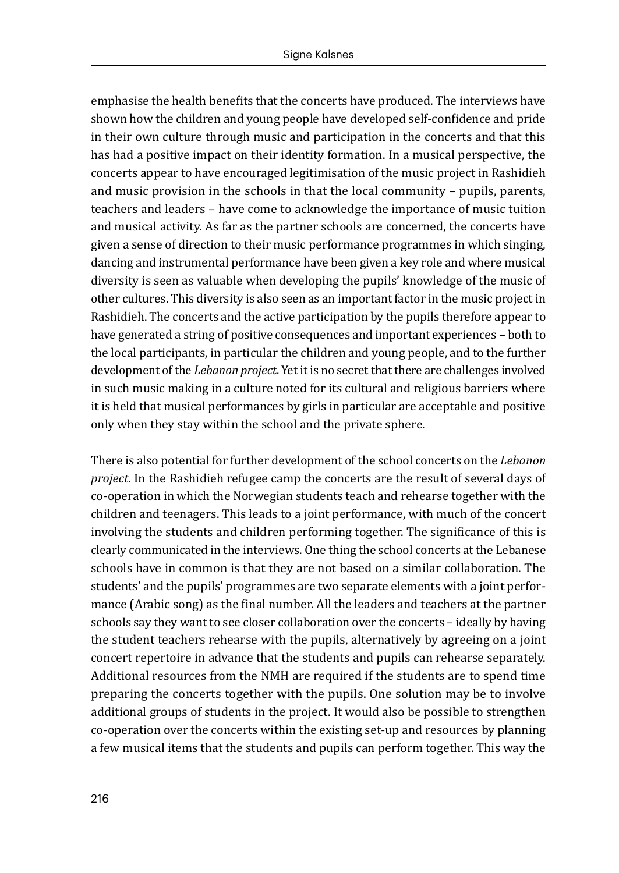emphasise the health benefits that the concerts have produced. The interviews have shown how the children and young people have developed self-confidence and pride in their own culture through music and participation in the concerts and that this has had a positive impact on their identity formation. In a musical perspective, the concerts appear to have encouraged legitimisation of the music project in Rashidieh and music provision in the schools in that the local community – pupils, parents, teachers and leaders – have come to acknowledge the importance of music tuition and musical activity. As far as the partner schools are concerned, the concerts have given a sense of direction to their music performance programmes in which singing, dancing and instrumental performance have been given a key role and where musical diversity is seen as valuable when developing the pupils' knowledge of the music of other cultures. This diversity is also seen as an important factor in the music project in Rashidieh. The concerts and the active participation by the pupils therefore appear to have generated a string of positive consequences and important experiences – both to the local participants, in particular the children and young people, and to the further development of the *Lebanon project*. Yet it is no secret that there are challenges involved in such music making in a culture noted for its cultural and religious barriers where it is held that musical performances by girls in particular are acceptable and positive only when they stay within the school and the private sphere.

There is also potential for further development of the school concerts on the *Lebanon project*. In the Rashidieh refugee camp the concerts are the result of several days of co-operation in which the Norwegian students teach and rehearse together with the children and teenagers. This leads to a joint performance, with much of the concert involving the students and children performing together. The significance of this is clearly communicated in the interviews. One thing the school concerts at the Lebanese schools have in common is that they are not based on a similar collaboration. The students' and the pupils' programmes are two separate elements with a joint performance (Arabic song) as the final number. All the leaders and teachers at the partner schools say they want to see closer collaboration over the concerts – ideally by having the student teachers rehearse with the pupils, alternatively by agreeing on a joint concert repertoire in advance that the students and pupils can rehearse separately. Additional resources from the NMH are required if the students are to spend time preparing the concerts together with the pupils. One solution may be to involve additional groups of students in the project. It would also be possible to strengthen co-operation over the concerts within the existing set-up and resources by planning a few musical items that the students and pupils can perform together. This way the